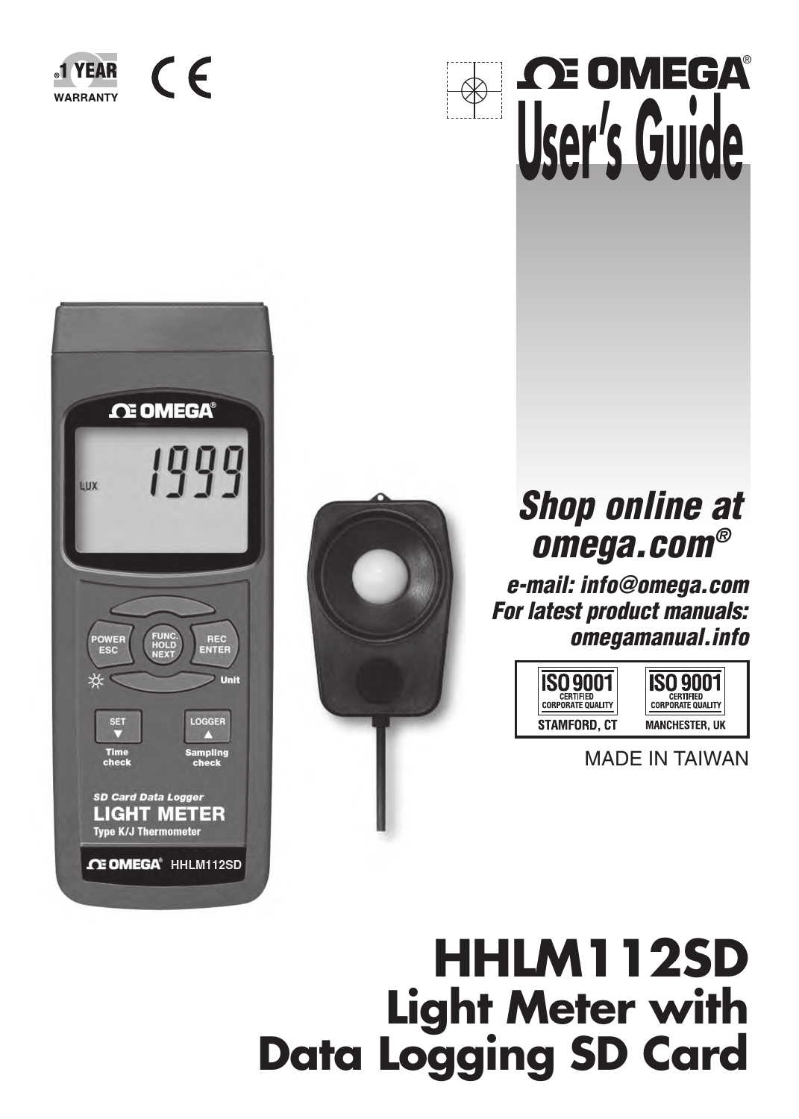



# **User's Guide** ®





## **Shop online at omega.com®**

**e-mail: info@omega.com For latest product manuals: omegamanual.info**



MADE IN TAIWAN

## **HHLM112SD Light Meter with Data Logging SD Card**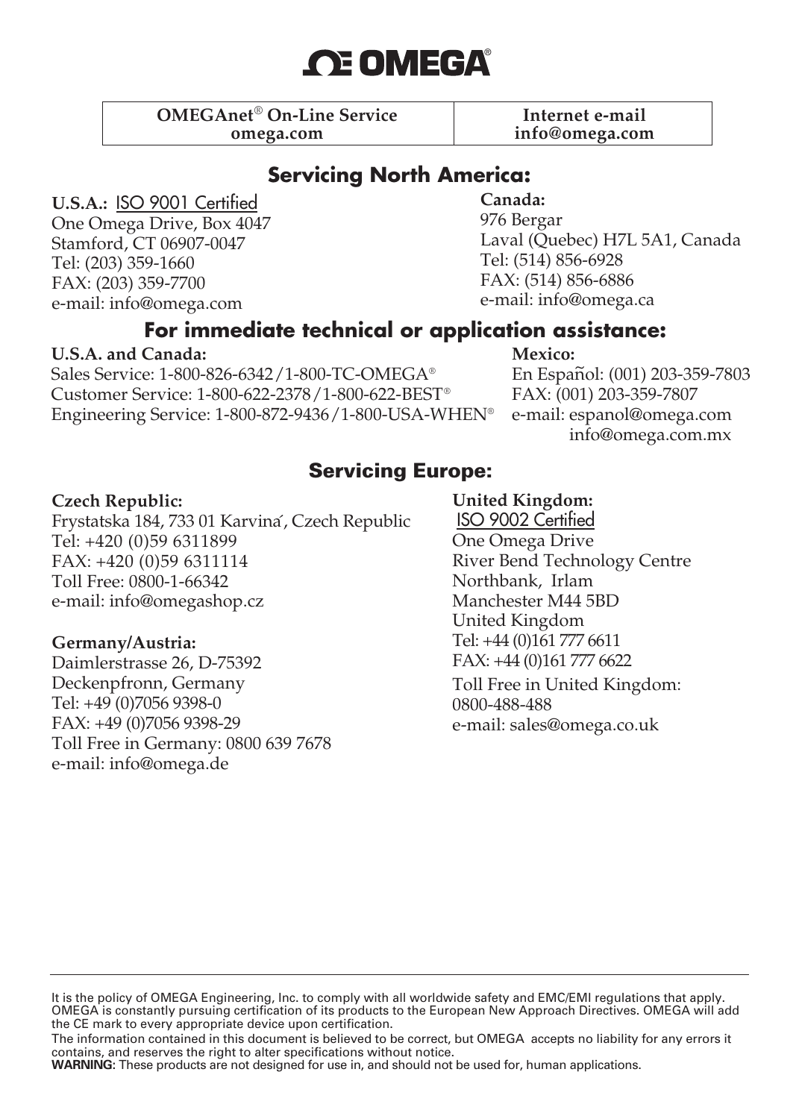## **OE OMEGA®**

**OMEGAnet**® **On-Line Service Internet e-mail omega.com info@omega.com**

#### **Servicing North America:**

**U.S.A.:** ISO 9001 Certified One Omega Drive, Box 4047 Stamford, CT 06907-0047 Tel: (203) 359-1660 FAX: (203) 359-7700 e-mail: info@omega.com

**Canada:**

976 Bergar Laval (Quebec) H7L 5A1, Canada Tel: (514) 856-6928 FAX: (514) 856-6886 e-mail: info@omega.ca

#### **For immediate technical or application assistance:**

#### **U.S.A. and Canada:**

Sales Service: 1-800-826-6342/1-800-TC-OMEGA® Customer Service: 1-800-622-2378/1-800-622-BEST® Engineering Service: 1-800-872-9436/1-800-USA-WHEN® **Mexico:**

En Español: (001) 203-359-7803 FAX: (001) 203-359-7807 e-mail: espanol@omega.com info@omega.com.mx

#### **Servicing Europe:**

#### **Czech Republic:**

Frystatska 184, 733 01 Karvina´, Czech Republic Tel: +420 (0)59 6311899 FAX: +420 (0)59 6311114 Toll Free: 0800-1-66342 e-mail: info@omegashop.cz

#### **Germany/Austria:**

Daimlerstrasse 26, D-75392 Deckenpfronn, Germany Tel: +49 (0)7056 9398-0 FAX: +49 (0)7056 9398-29 Toll Free in Germany: 0800 639 7678 e-mail: info@omega.de

#### **United Kingdom:**

ISO 9002 Certified One Omega Drive River Bend Technology Centre Northbank, Irlam Manchester M44 5BD United Kingdom Tel: +44 (0)161 777 6611 FAX: +44 (0)161 777 6622

Toll Free in United Kingdom: 0800-488-488 e-mail: sales@omega.co.uk

**WARNING:** These products are not designed for use in, and should not be used for, human applications.

It is the policy of OMEGA Engineering, Inc. to comply with all worldwide safety and EMC/EMI regulations that apply. OMEGA is constantly pursuing certification of its products to the European New Approach Directives. OMEGA will add the CE mark to every appropriate device upon certification.

The information contained in this document is believed to be correct, but OMEGA accepts no liability for any errors it contains, and reserves the right to alter specifications without notice.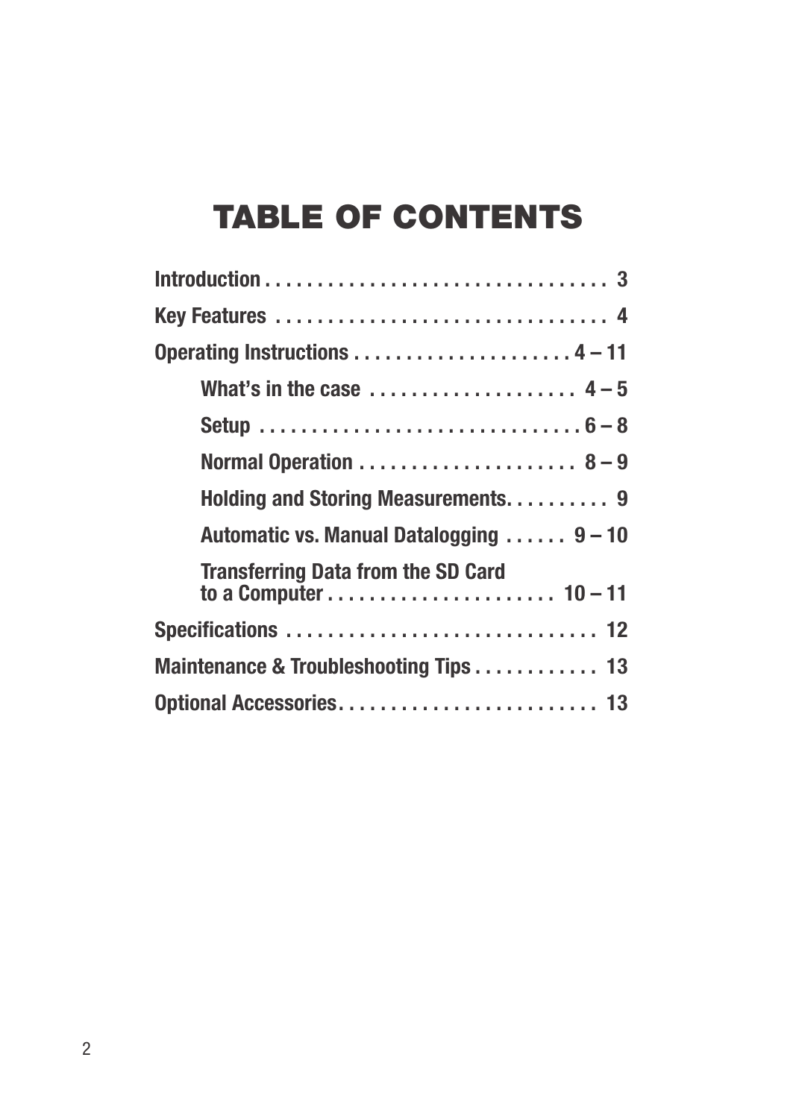## TABLE OF CONTENTS

| Key Features  4                           |
|-------------------------------------------|
|                                           |
| What's in the case $4-5$                  |
|                                           |
|                                           |
| Holding and Storing Measurements 9        |
| Automatic vs. Manual Datalogging  9 - 10  |
| <b>Transferring Data from the SD Card</b> |
|                                           |
| Maintenance & Troubleshooting Tips 13     |
|                                           |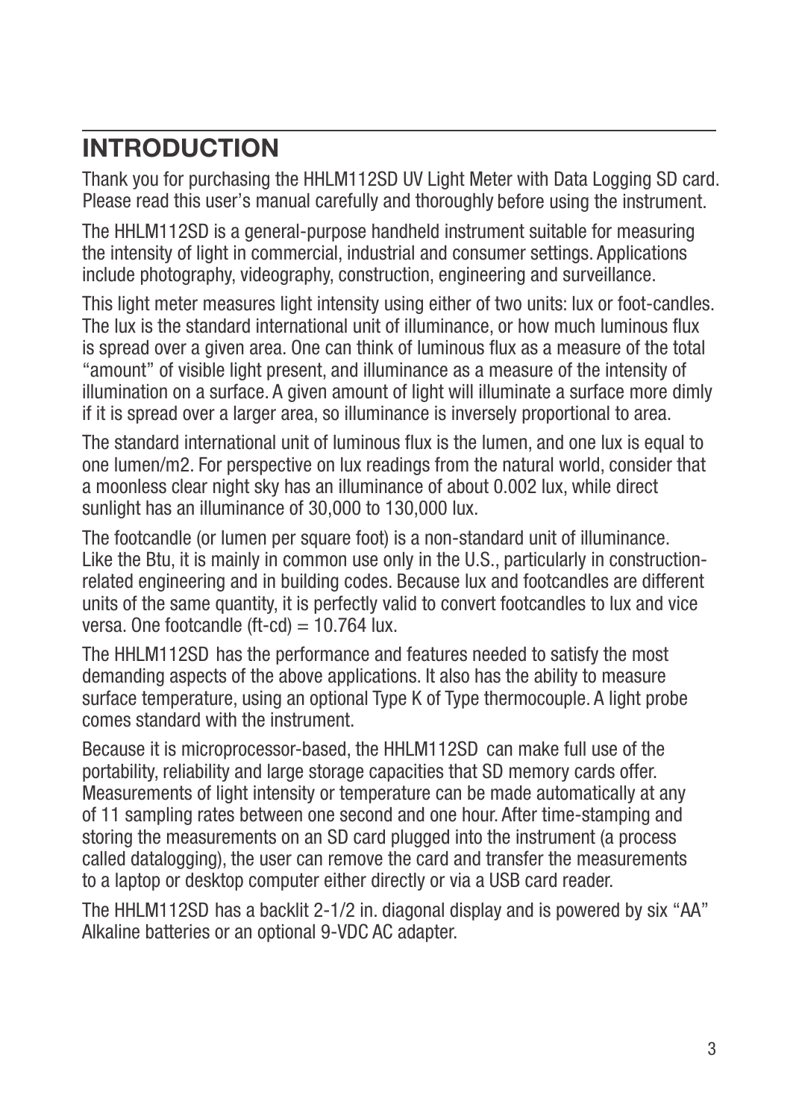## **INTRODUCTION**

Thank you for purchasing the HHLM112SD UV Light Meter with Data Logging SD card. Please read this user's manual carefully and thoroughly before using the instrument.

The HHLM112SD is a general-purpose handheld instrument suitable for measuring the intensity of light in commercial, industrial and consumer settings. Applications include photography, videography, construction, engineering and surveillance.

This light meter measures light intensity using either of two units: lux or foot-candles. The lux is the standard international unit of illuminance, or how much luminous flux is spread over a given area. One can think of luminous flux as a measure of the total "amount" of visible light present, and illuminance as a measure of the intensity of illumination on a surface. A given amount of light will illuminate a surface more dimly if it is spread over a larger area, so illuminance is inversely proportional to area.

The standard international unit of luminous flux is the lumen, and one lux is equal to one lumen/m2. For perspective on lux readings from the natural world, consider that a moonless clear night sky has an illuminance of about 0.002 lux, while direct sunlight has an illuminance of 30,000 to 130,000 lux.

The footcandle (or lumen per square foot) is a non-standard unit of illuminance. Like the Btu, it is mainly in common use only in the U.S., particularly in constructionrelated engineering and in building codes. Because lux and footcandles are different units of the same quantity, it is perfectly valid to convert footcandles to lux and vice versa. One footcandle (ft-cd)  $= 10.764$  lux.

The HHLM112SD has the performance and features needed to satisfy the most demanding aspects of the above applications. It also has the ability to measure surface temperature, using an optional Type K of Type thermocouple. A light probe comes standard with the instrument.

Because it is microprocessor-based, the HHLM112SD can make full use of the portability, reliability and large storage capacities that SD memory cards offer. Measurements of light intensity or temperature can be made automatically at any of 11 sampling rates between one second and one hour. After time-stamping and storing the measurements on an SD card plugged into the instrument (a process called datalogging), the user can remove the card and transfer the measurements to a laptop or desktop computer either directly or via a USB card reader.

The HHLM112SD has a backlit 2-1/2 in. diagonal display and is powered by six "AA" Alkaline batteries or an optional 9-VDC AC adapter.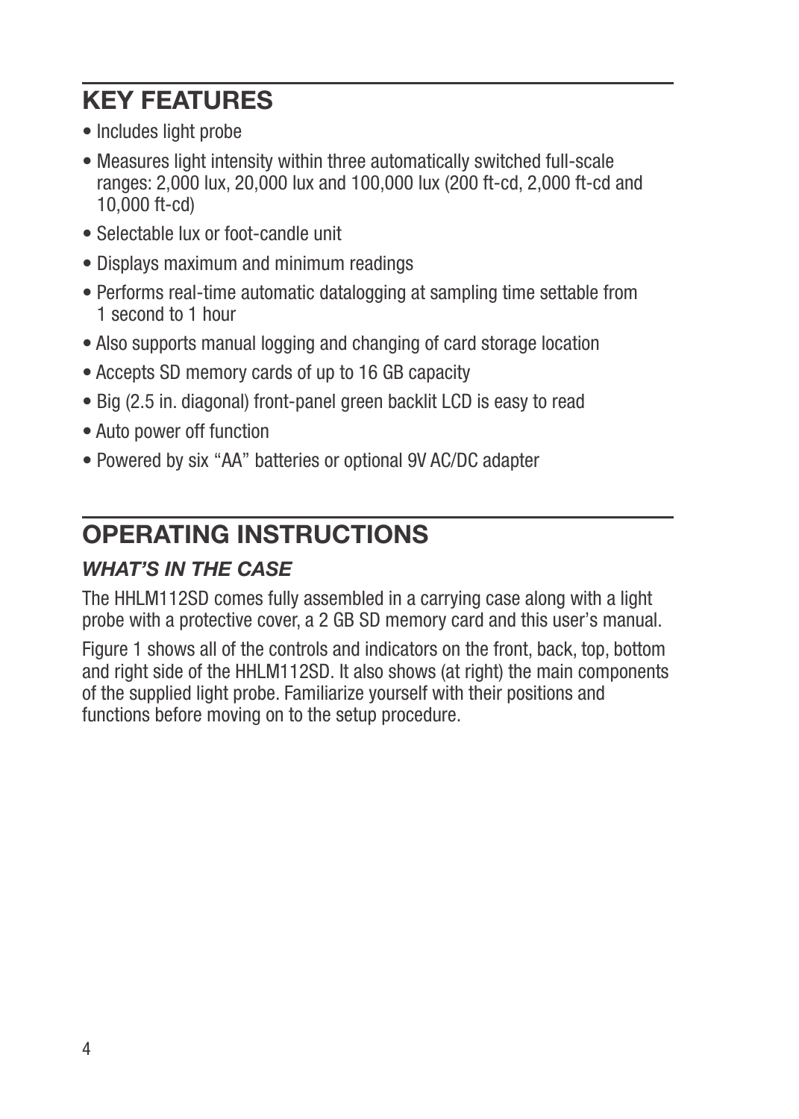## **KEY FEATURES**

- Includes light probe
- Measures light intensity within three automatically switched full-scale ranges: 2,000 lux, 20,000 lux and 100,000 lux (200 ft-cd, 2,000 ft-cd and 10,000 ft-cd)
- Selectable lux or foot-candle unit
- Displays maximum and minimum readings
- Performs real-time automatic datalogging at sampling time settable from 1 second to 1 hour
- Also supports manual logging and changing of card storage location
- Accepts SD memory cards of up to 16 GB capacity
- Big (2.5 in. diagonal) front-panel green backlit LCD is easy to read
- Auto power off function
- Powered by six "AA" batteries or optional 9V AC/DC adapter

## **OPERATING INSTRUCTIONS**

#### *WHAT'S IN THE CASE*

The HHLM112SD comes fully assembled in a carrying case along with a light probe with a protective cover, a 2 GB SD memory card and this user's manual.

Figure 1 shows all of the controls and indicators on the front, back, top, bottom and right side of the HHLM112SD. It also shows (at right) the main components of the supplied light probe. Familiarize yourself with their positions and functions before moving on to the setup procedure.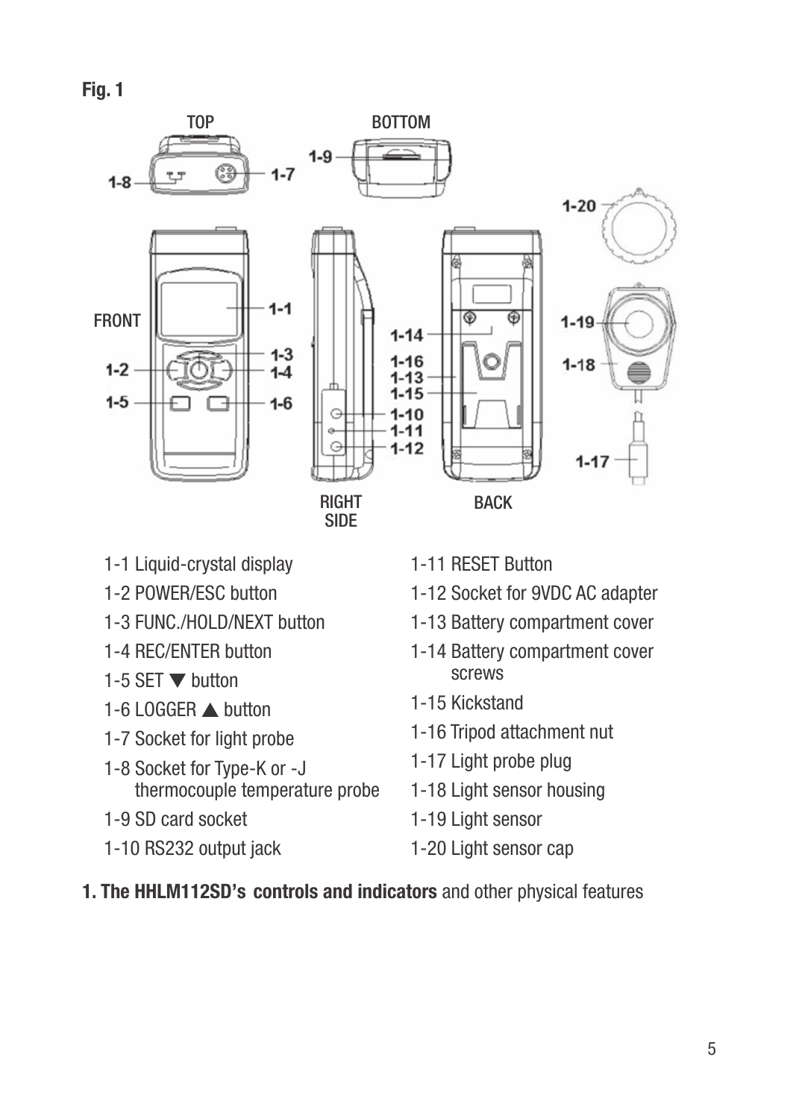**Fig. 1**



- 1-1 Liquid-crystal display
- 1-2 POWER/ESC button
- 1-3 FUNC./HOLD/NEXT button
- 1-4 REC/ENTER button
- 1-5 SET  $\blacktriangledown$  button
- 1-6 LOGGER **button**
- 1-7 Socket for light probe
- 1-8 Socket for Type-K or -J thermocouple temperature probe
- 1-9 SD card socket
- 1-10 RS232 output jack
- 1-11 RESET Button
- 1-12 Socket for 9VDC AC adapter
- 1-13 Battery compartment cover
- 1-14 Battery compartment cover screws
- 1-15 Kickstand
- 1-16 Tripod attachment nut
- 1-17 Light probe plug
- 1-18 Light sensor housing
- 1-19 Light sensor
- 1-20 Light sensor cap

#### **1. The HHLM112SD's controls and indicators** and other physical features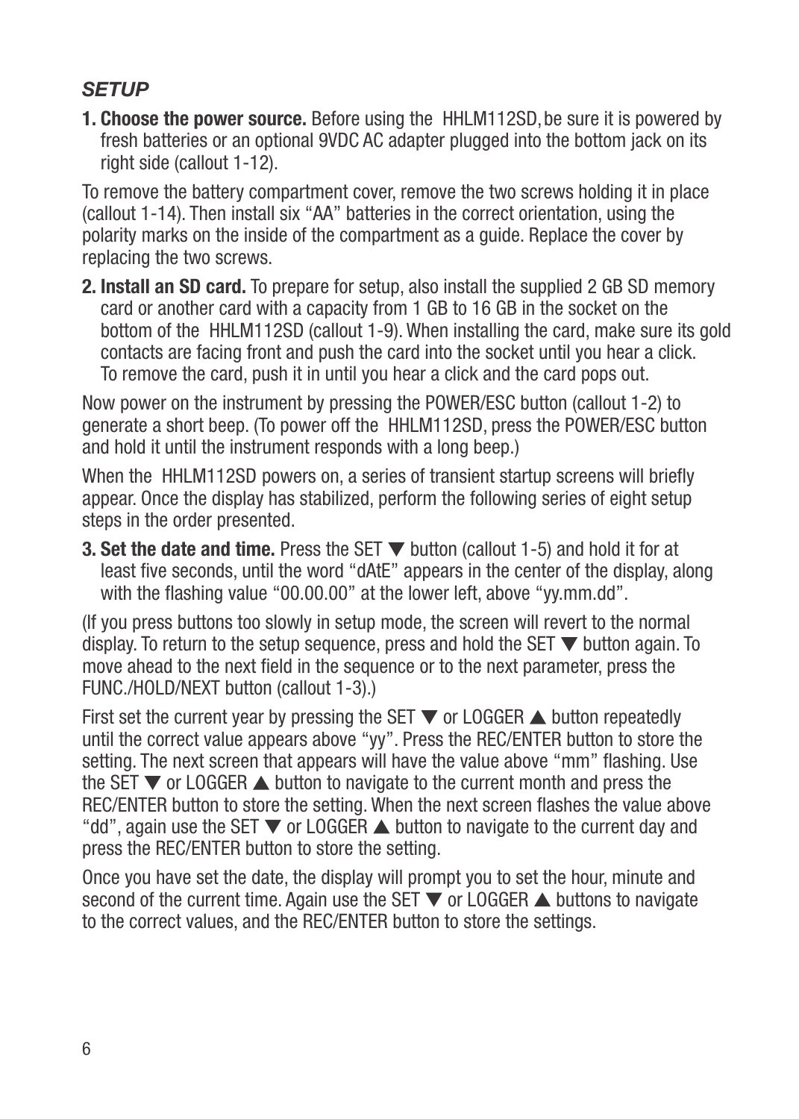#### *SETUP*

**1. Choose the power source.** Before using the HHLM112SD, be sure it is powered by fresh batteries or an optional 9VDC AC adapter plugged into the bottom jack on its right side (callout 1-12).

To remove the battery compartment cover, remove the two screws holding it in place (callout 1-14). Then install six "AA" batteries in the correct orientation, using the polarity marks on the inside of the compartment as a guide. Replace the cover by replacing the two screws.

**2. Install an SD card.** To prepare for setup, also install the supplied 2 GB SD memory card or another card with a capacity from 1 GB to 16 GB in the socket on the bottom of the HHLM112SD (callout 1-9). When installing the card, make sure its gold contacts are facing front and push the card into the socket until you hear a click. To remove the card, push it in until you hear a click and the card pops out.

Now power on the instrument by pressing the POWER/ESC button (callout 1-2) to generate a short beep. (To power off the HHLM112SD, press the POWER/ESC button and hold it until the instrument responds with a long beep.)

When the HHLM112SD powers on, a series of transient startup screens will briefly appear. Once the display has stabilized, perform the following series of eight setup steps in the order presented.

**3. Set the date and time.** Press the SET  $\blacktriangledown$  button (callout 1-5) and hold it for at least five seconds, until the word "dAtE" appears in the center of the display, along with the flashing value "00.00.00" at the lower left, above "yy.mm.dd".

(If you press buttons too slowly in setup mode, the screen will revert to the normal display. To return to the setup sequence, press and hold the SET  $\nabla$  button again. To move ahead to the next field in the sequence or to the next parameter, press the FUNC./HOLD/NEXT button (callout 1-3).)

First set the current year by pressing the SET  $\blacktriangledown$  or LOGGER  $\blacktriangle$  button repeatedly until the correct value appears above "yy". Press the REC/ENTER button to store the setting. The next screen that appears will have the value above "mm" flashing. Use the SET  $\nabla$  or LOGGER  $\triangle$  button to navigate to the current month and press the REC/ENTER button to store the setting. When the next screen flashes the value above "dd", again use the SET  $\blacktriangledown$  or LOGGER  $\blacktriangle$  button to navigate to the current day and press the REC/ENTER button to store the setting.

Once you have set the date, the display will prompt you to set the hour, minute and second of the current time. Again use the SET  $\blacktriangledown$  or LOGGER  $\blacktriangle$  buttons to navigate to the correct values, and the REC/ENTER button to store the settings.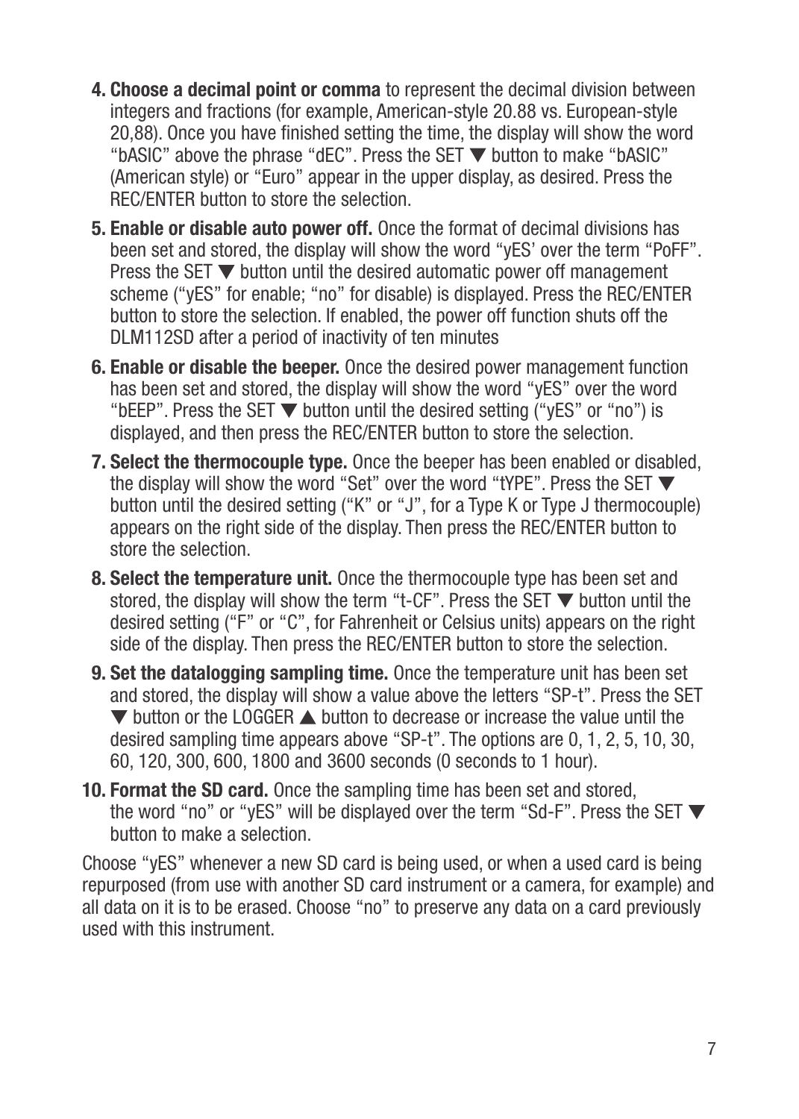- **4. Choose a decimal point or comma** to represent the decimal division between integers and fractions (for example, American-style 20.88 vs. European-style 20,88). Once you have finished setting the time, the display will show the word "bASIC" above the phrase "dEC". Press the SET  $\nabla$  button to make "bASIC" (American style) or "Euro" appear in the upper display, as desired. Press the REC/ENTER button to store the selection.
- **5. Enable or disable auto power off.** Once the format of decimal divisions has been set and stored, the display will show the word "yES' over the term "PoFF". Press the SET  $\blacktriangledown$  button until the desired automatic power off management scheme ("yES" for enable; "no" for disable) is displayed. Press the REC/ENTER button to store the selection. If enabled, the power off function shuts off the DLM112SD after a period of inactivity of ten minutes
- **6. Enable or disable the beeper.** Once the desired power management function has been set and stored, the display will show the word "yES" over the word "bEEP". Press the SET  $\nabla$  button until the desired setting ("vES" or "no") is displayed, and then press the REC/ENTER button to store the selection.
- **7. Select the thermocouple type.** Once the beeper has been enabled or disabled, the display will show the word "Set" over the word "tYPE". Press the SET button until the desired setting ("K" or "J", for a Type K or Type J thermocouple) appears on the right side of the display. Then press the REC/ENTER button to store the selection.
- **8. Select the temperature unit.** Once the thermocouple type has been set and stored, the display will show the term "t-CF". Press the SET  $\nabla$  button until the desired setting ("F" or "C", for Fahrenheit or Celsius units) appears on the right side of the display. Then press the REC/ENTER button to store the selection.
- **9. Set the datalogging sampling time.** Once the temperature unit has been set and stored, the display will show a value above the letters "SP-t". Press the SET  $\blacktriangledown$  button or the LOGGER  $\blacktriangle$  button to decrease or increase the value until the desired sampling time appears above "SP-t". The options are 0, 1, 2, 5, 10, 30, 60, 120, 300, 600, 1800 and 3600 seconds (0 seconds to 1 hour).
- **10. Format the SD card.** Once the sampling time has been set and stored, the word "no" or "yES" will be displayed over the term "Sd-F". Press the SET ▼ button to make a selection.

Choose "yES" whenever a new SD card is being used, or when a used card is being repurposed (from use with another SD card instrument or a camera, for example) and all data on it is to be erased. Choose "no" to preserve any data on a card previously used with this instrument.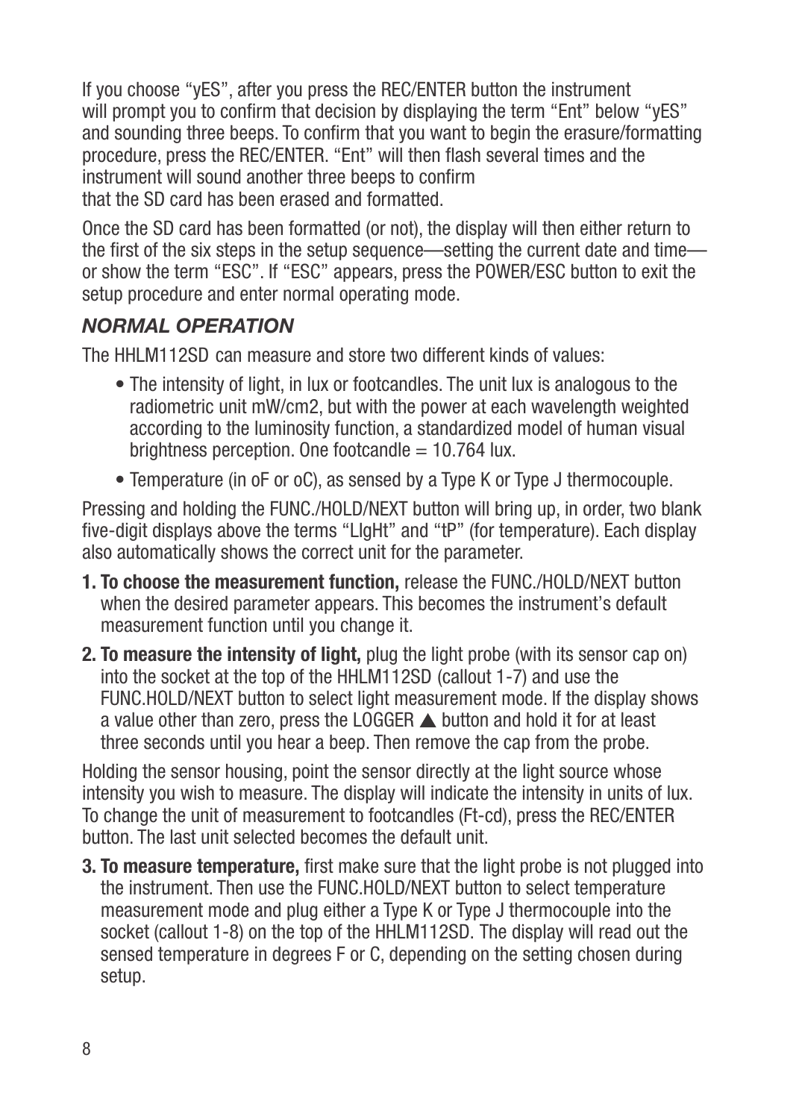If you choose "yES", after you press the REC/ENTER button the instrument will prompt you to confirm that decision by displaying the term "Ent" below "yES" and sounding three beeps. To confirm that you want to begin the erasure/formatting procedure, press the REC/ENTER. "Ent" will then flash several times and the instrument will sound another three beeps to confirm that the SD card has been erased and formatted.

Once the SD card has been formatted (or not), the display will then either return to the first of the six steps in the setup sequence—setting the current date and time or show the term "ESC". If "ESC" appears, press the POWER/ESC button to exit the setup procedure and enter normal operating mode.

#### *NORMAL OPERATION*

The HHLM112SD can measure and store two different kinds of values:

- The intensity of light, in lux or footcandles. The unit lux is analogous to the radiometric unit mW/cm2, but with the power at each wavelength weighted according to the luminosity function, a standardized model of human visual brightness perception. One footcandle  $= 10.764$  lux.
- Temperature (in oF or oC), as sensed by a Type K or Type J thermocouple.

Pressing and holding the FUNC./HOLD/NEXT button will bring up, in order, two blank five-digit displays above the terms "LIgHt" and "tP" (for temperature). Each display also automatically shows the correct unit for the parameter.

- **1. To choose the measurement function,** release the FUNC./HOLD/NEXT button when the desired parameter appears. This becomes the instrument's default measurement function until you change it.
- **2. To measure the intensity of light,** plug the light probe (with its sensor cap on) into the socket at the top of the HHLM112SD (callout 1-7) and use the FUNC.HOLD/NEXT button to select light measurement mode. If the display shows a value other than zero, press the LOGGER  $\triangle$  button and hold it for at least three seconds until you hear a beep. Then remove the cap from the probe.

Holding the sensor housing, point the sensor directly at the light source whose intensity you wish to measure. The display will indicate the intensity in units of lux. To change the unit of measurement to footcandles (Ft-cd), press the REC/ENTER button. The last unit selected becomes the default unit.

**3. To measure temperature,** first make sure that the light probe is not plugged into the instrument. Then use the FUNC.HOLD/NEXT button to select temperature measurement mode and plug either a Type K or Type J thermocouple into the socket (callout 1-8) on the top of the HHLM112SD. The display will read out the sensed temperature in degrees F or C, depending on the setting chosen during setup.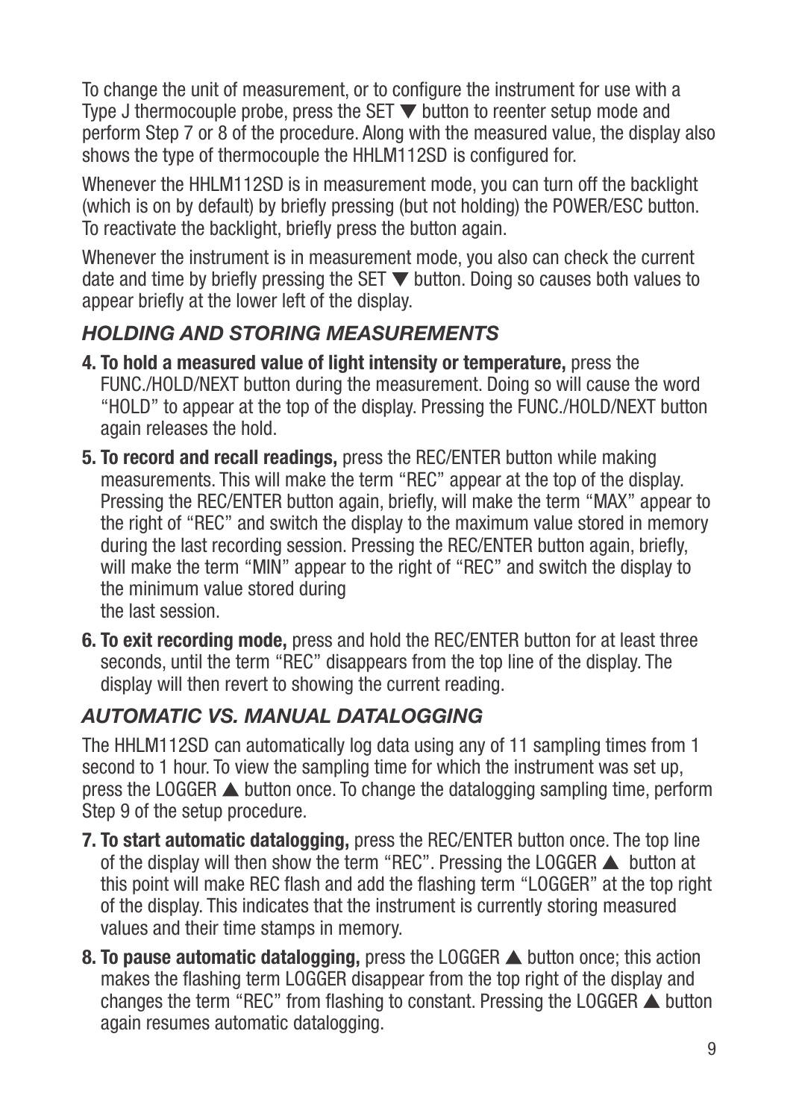To change the unit of measurement, or to configure the instrument for use with a Type J thermocouple probe, press the SET  $\nabla$  button to reenter setup mode and perform Step 7 or 8 of the procedure. Along with the measured value, the display also shows the type of thermocouple the HHLM112SD is configured for.

Whenever the HHLM112SD is in measurement mode, you can turn off the backlight (which is on by default) by briefly pressing (but not holding) the POWER/ESC button. To reactivate the backlight, briefly press the button again.

Whenever the instrument is in measurement mode, you also can check the current date and time by briefly pressing the SET  $\blacktriangledown$  button. Doing so causes both values to appear briefly at the lower left of the display.

#### *HOLDING AND STORING MEASUREMENTS*

- **4. To hold a measured value of light intensity or temperature,** press the FUNC./HOLD/NEXT button during the measurement. Doing so will cause the word "HOLD" to appear at the top of the display. Pressing the FUNC./HOLD/NEXT button again releases the hold.
- **5. To record and recall readings,** press the REC/ENTER button while making measurements. This will make the term "REC" appear at the top of the display. Pressing the REC/ENTER button again, briefly, will make the term "MAX" appear to the right of "REC" and switch the display to the maximum value stored in memory during the last recording session. Pressing the REC/ENTER button again, briefly, will make the term "MIN" appear to the right of "REC" and switch the display to the minimum value stored during the last session.
- **6. To exit recording mode,** press and hold the REC/ENTER button for at least three seconds, until the term "REC" disappears from the top line of the display. The display will then revert to showing the current reading.

#### *AUTOMATIC VS. MANUAL DATALOGGING*

The HHLM112SD can automatically log data using any of 11 sampling times from 1 second to 1 hour. To view the sampling time for which the instrument was set up, press the LOGGER  $\triangle$  button once. To change the datalogging sampling time, perform Step 9 of the setup procedure.

- **7. To start automatic datalogging,** press the REC/ENTER button once. The top line of the display will then show the term "REC". Pressing the LOGGER  $\blacktriangle$  button at this point will make REC flash and add the flashing term "LOGGER" at the top right of the display. This indicates that the instrument is currently storing measured values and their time stamps in memory.
- **8. To pause automatic datalogging,** press the LOGGER **A** button once; this action makes the flashing term LOGGER disappear from the top right of the display and changes the term "REC" from flashing to constant. Pressing the LOGGER  $\triangle$  button again resumes automatic datalogging.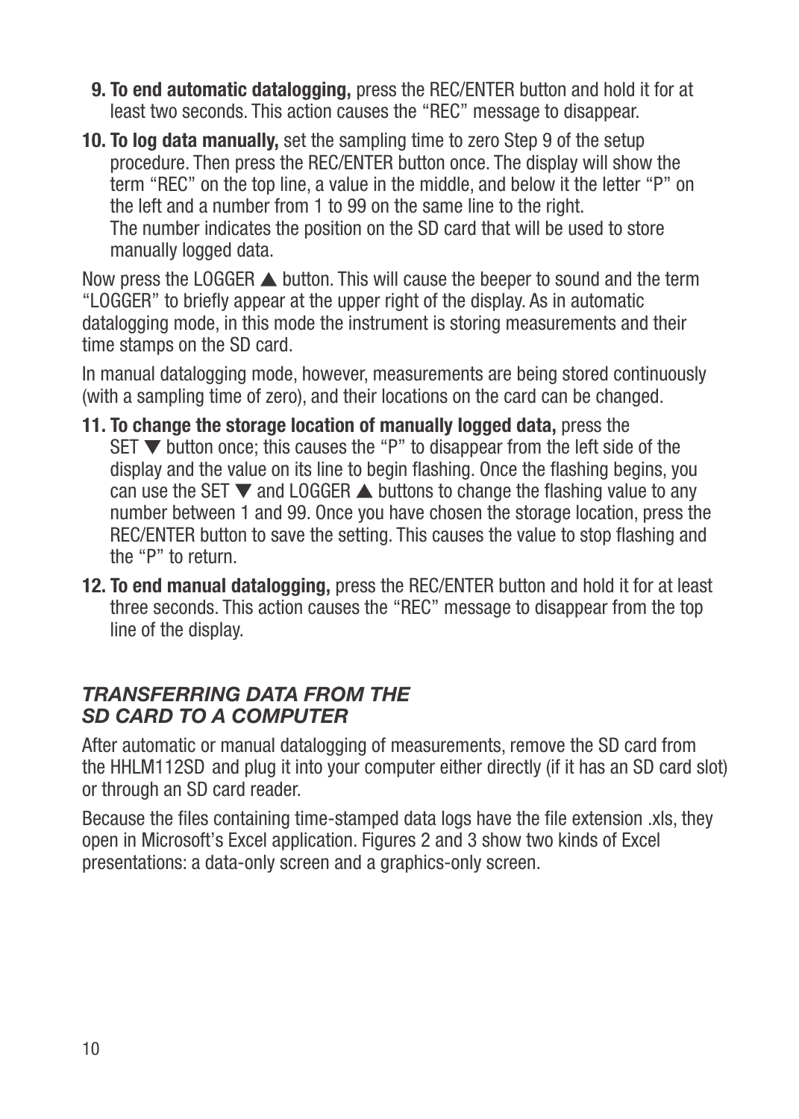- **9. To end automatic datalogging,** press the REC/ENTER button and hold it for at least two seconds. This action causes the "REC" message to disappear.
- **10. To log data manually,** set the sampling time to zero Step 9 of the setup procedure. Then press the REC/ENTER button once. The display will show the term "REC" on the top line, a value in the middle, and below it the letter "P" on the left and a number from 1 to 99 on the same line to the right. The number indicates the position on the SD card that will be used to store manually logged data.

Now press the LOGGER  $\triangle$  button. This will cause the beeper to sound and the term "LOGGER" to briefly appear at the upper right of the display. As in automatic datalogging mode, in this mode the instrument is storing measurements and their time stamps on the SD card.

In manual datalogging mode, however, measurements are being stored continuously (with a sampling time of zero), and their locations on the card can be changed.

- **11. To change the storage location of manually logged data,** press the SET  $\nabla$  button once; this causes the "P" to disappear from the left side of the display and the value on its line to begin flashing. Once the flashing begins, you can use the SET  $\blacktriangledown$  and LOGGER  $\blacktriangle$  buttons to change the flashing value to any number between 1 and 99. Once you have chosen the storage location, press the REC/ENTER button to save the setting. This causes the value to stop flashing and the "P" to return.
- **12. To end manual datalogging,** press the REC/ENTER button and hold it for at least three seconds. This action causes the "REC" message to disappear from the top line of the display.

#### *TRANSFERRING DATA FROM THE SD CARD TO A COMPUTER*

After automatic or manual datalogging of measurements, remove the SD card from the HHLM112SD and plug it into your computer either directly (if it has an SD card slot) or through an SD card reader.

Because the files containing time-stamped data logs have the file extension .xls, they open in Microsoft's Excel application. Figures 2 and 3 show two kinds of Excel presentations: a data-only screen and a graphics-only screen.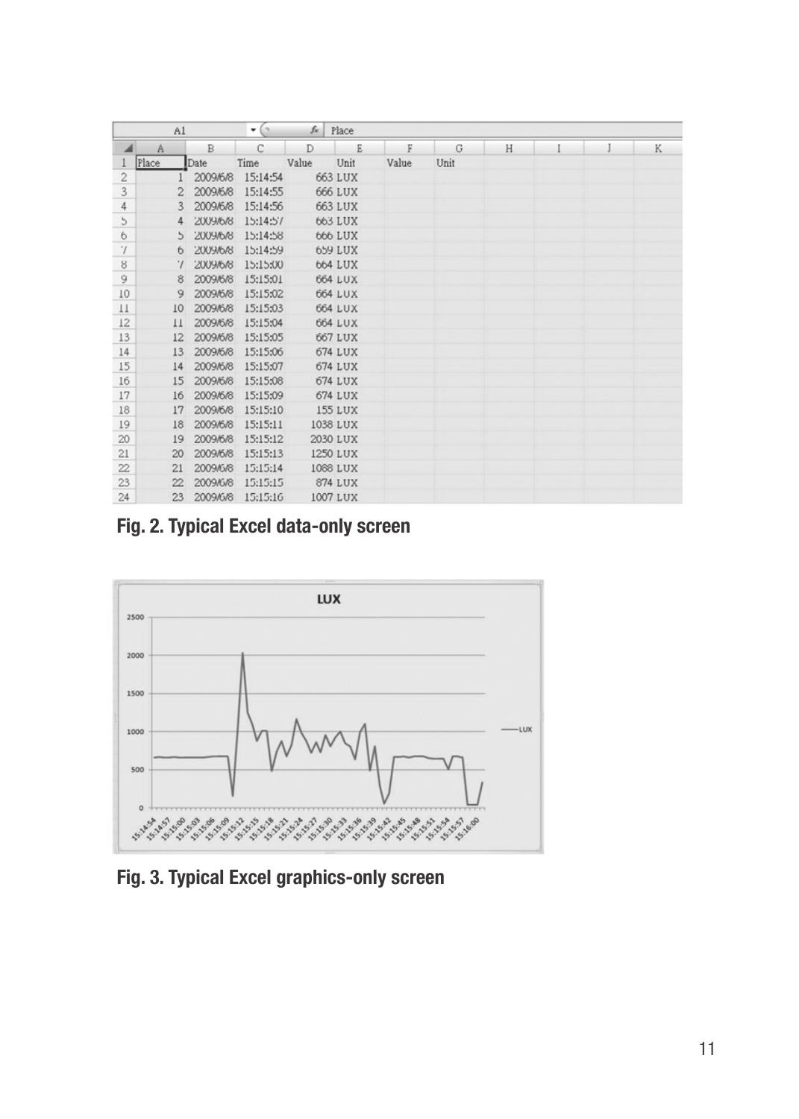|                      | Al            |          | $\mathbf{v}$ (e) | $f_{\rm x}$ | Place    |       |      |   |  |   |
|----------------------|---------------|----------|------------------|-------------|----------|-------|------|---|--|---|
| $\blacktriangleleft$ | A             | B        | C                | D           | E        | F     | G    | H |  | K |
|                      | Place         | Date     | Time             | Value       | Unit     | Value | Unit |   |  |   |
| $\sqrt{2}$           |               | 2009/6/8 | 15:14:54         |             | 663 LUX  |       |      |   |  |   |
| 3                    |               | 2009/6/8 | 15:14:55         |             | 666 LUX  |       |      |   |  |   |
| 4                    | 3             | 2009/6/8 | 15:14:56         |             | 663 LUX  |       |      |   |  |   |
| $\mathfrak{h}$       | 4             | 2009/6/8 | 15:14:57         |             | 663 LUX  |       |      |   |  |   |
| $\ddot{\circ}$       | $\mathcal{L}$ | 2009/6/8 | 15:14:58         |             | 666 LUX  |       |      |   |  |   |
| $^\prime\prime$      | 6             | 2009/6/8 | 15:14:59         |             | 659 LUX  |       |      |   |  |   |
| 8                    | $\gamma$      | 2009/6/8 | 15:15:00         |             | 664 LUX  |       |      |   |  |   |
| 9                    | 8             | 2009/6/8 | 15:15:01         |             | 664 LUX  |       |      |   |  |   |
| 10                   | 9             | 2009/6/8 | 15:15:02         |             | 664 LUX  |       |      |   |  |   |
| $_{11}$              | 10            | 2009/6/8 | 15:15:03         |             | 664 LUX  |       |      |   |  |   |
| 12                   | 11            | 2009/6/8 | 15:15:04         |             | 664 LUX  |       |      |   |  |   |
| 13                   | 12            | 2009/6/8 | 15:15:05         |             | 667 LUX  |       |      |   |  |   |
| 14                   | 13            | 2009/6/8 | 15:15:06         |             | 674 LUX  |       |      |   |  |   |
| 15                   | 14            | 2009/6/8 | 15:15:07         |             | 674 LUX  |       |      |   |  |   |
| 16                   | 15            | 2009/6/8 | 15:15:08         |             | 674 LUX  |       |      |   |  |   |
| 17                   | 16            | 2009/6/8 | 15:15:09         |             | 674 LUX  |       |      |   |  |   |
| 18                   | 17            | 2009/6/8 | 15:15:10         |             | 155 LUX  |       |      |   |  |   |
| 19                   | 18            | 2009/6/8 | 15:15:11         |             | 1038 LUX |       |      |   |  |   |
| 20                   | 19            | 2009/6/8 | 15:15:12         |             | 2030 LUX |       |      |   |  |   |
| 21                   | 20            | 2009/6/8 | 15:15:13         |             | 1250 LUX |       |      |   |  |   |
| 22.                  | 21            | 2009/6/8 | 15:15:14         |             | 1068 LUX |       |      |   |  |   |
| 23                   | 22            | 2009/6/8 | 15:15:15         |             | 874 LUX  |       |      |   |  |   |
| 24                   | 23            | 2009/6/8 | 15:15:16         |             | 1007 LUX |       |      |   |  |   |

**Fig. 2. Typical Excel data-only screen**



**Fig. 3. Typical Excel graphics-only screen**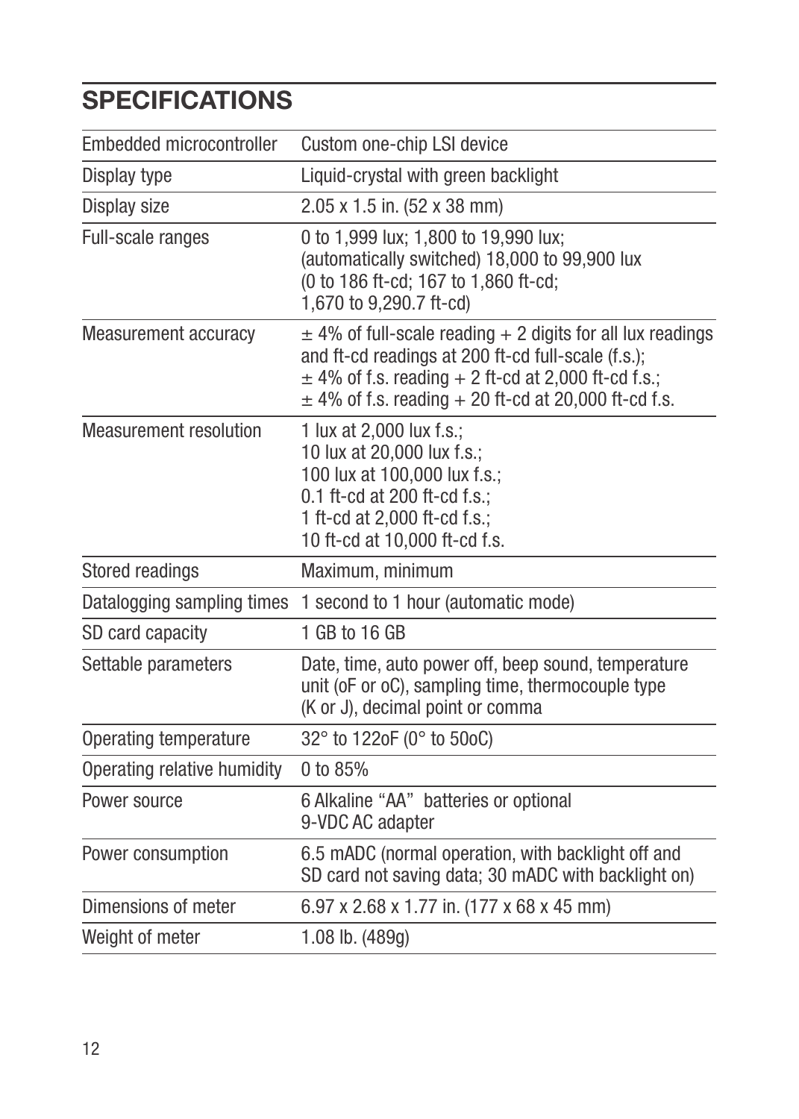## **SPECIFICATIONS**

| Embedded microcontroller    | Custom one-chip LSI device                                                                                                                                                                                                                  |  |  |  |  |  |
|-----------------------------|---------------------------------------------------------------------------------------------------------------------------------------------------------------------------------------------------------------------------------------------|--|--|--|--|--|
| Display type                | Liquid-crystal with green backlight                                                                                                                                                                                                         |  |  |  |  |  |
| Display size                | 2.05 x 1.5 in. (52 x 38 mm)                                                                                                                                                                                                                 |  |  |  |  |  |
| Full-scale ranges           | 0 to 1,999 lux; 1,800 to 19,990 lux;<br>(automatically switched) 18,000 to 99,900 lux<br>(0 to 186 ft-cd; 167 to 1,860 ft-cd;<br>1,670 to 9,290.7 ft-cd)                                                                                    |  |  |  |  |  |
| Measurement accuracy        | $\pm$ 4% of full-scale reading + 2 digits for all lux readings<br>and ft-cd readings at 200 ft-cd full-scale (f.s.);<br>$\pm$ 4% of f.s. reading + 2 ft-cd at 2,000 ft-cd f.s.;<br>$\pm$ 4% of f.s. reading + 20 ft-cd at 20,000 ft-cd f.s. |  |  |  |  |  |
| Measurement resolution      | 1 lux at 2,000 lux f.s.;<br>10 lux at 20,000 lux f.s.;<br>100 lux at 100,000 lux f.s.;<br>0.1 ft-cd at 200 ft-cd f.s.;<br>1 ft-cd at 2,000 ft-cd f.s.;<br>10 ft-cd at 10,000 ft-cd f.s.                                                     |  |  |  |  |  |
| Stored readings             | Maximum, minimum                                                                                                                                                                                                                            |  |  |  |  |  |
| Datalogging sampling times  | 1 second to 1 hour (automatic mode)                                                                                                                                                                                                         |  |  |  |  |  |
| SD card capacity            | 1 GB to 16 GB                                                                                                                                                                                                                               |  |  |  |  |  |
| Settable parameters         | Date, time, auto power off, beep sound, temperature<br>unit (oF or oC), sampling time, thermocouple type<br>(K or J), decimal point or comma                                                                                                |  |  |  |  |  |
| Operating temperature       | 32° to 122oF (0° to 50oC)                                                                                                                                                                                                                   |  |  |  |  |  |
| Operating relative humidity | 0 to 85%                                                                                                                                                                                                                                    |  |  |  |  |  |
| Power source                | 6 Alkaline "AA" batteries or optional<br>9-VDC AC adapter                                                                                                                                                                                   |  |  |  |  |  |
| Power consumption           | 6.5 mADC (normal operation, with backlight off and<br>SD card not saving data; 30 mADC with backlight on)                                                                                                                                   |  |  |  |  |  |
| Dimensions of meter         | 6.97 x 2.68 x 1.77 in. (177 x 68 x 45 mm)                                                                                                                                                                                                   |  |  |  |  |  |
| Weight of meter             | 1.08 lb. (489g)                                                                                                                                                                                                                             |  |  |  |  |  |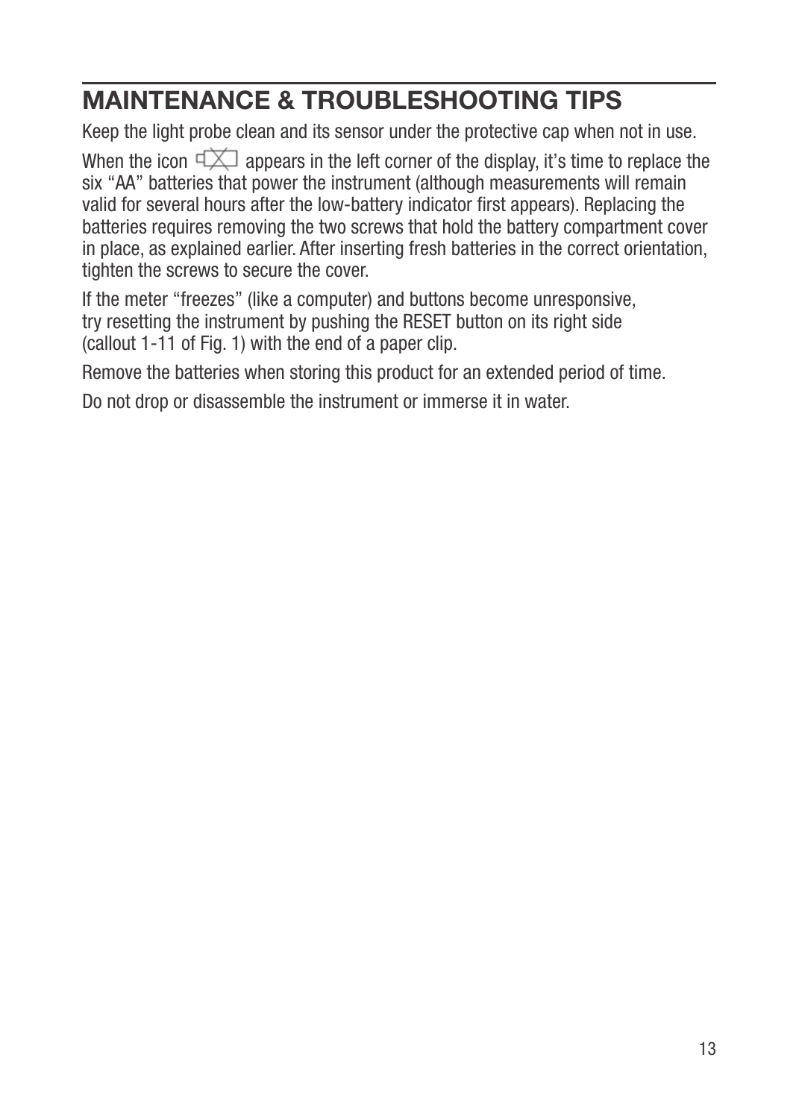## **MAINTENANCE & TROUBLESHOOTING TIPS**

Keep the light probe clean and its sensor under the protective cap when not in use.

When the icon  $\Box$  appears in the left corner of the display, it's time to replace the six "AA" batteries that power the instrument (although measurements will remain valid for several hours after the low-battery indicator first appears). Replacing the batteries requires removing the two screws that hold the battery compartment cover in place, as explained earlier. After inserting fresh batteries in the correct orientation, tighten the screws to secure the cover.

If the meter "freezes" (like a computer) and buttons become unresponsive, try resetting the instrument by pushing the RESET button on its right side (callout 1-11 of Fig. 1) with the end of a paper clip.

Remove the batteries when storing this product for an extended period of time.

Do not drop or disassemble the instrument or immerse it in water.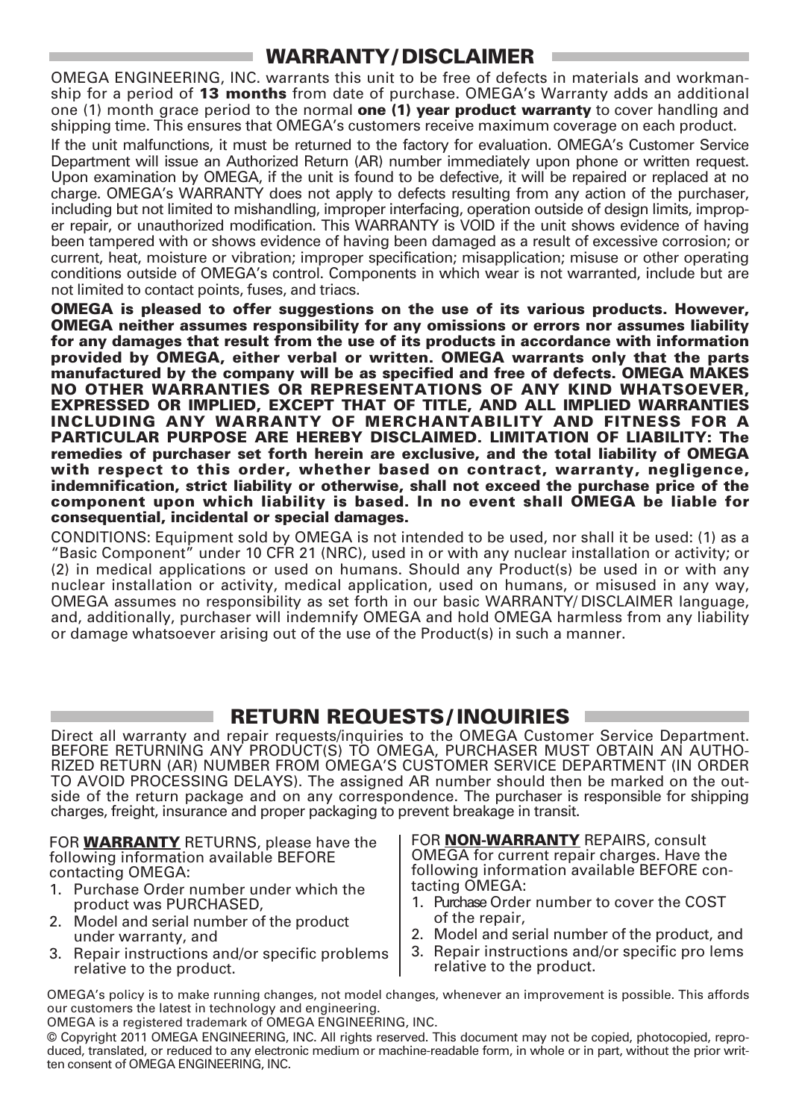#### **WARRANTY/ DISCLAIMER**

OMEGA ENGINEERING, INC. warrants this unit to be free of defects in materials and workmanship for a period of **13 months** from date of purchase. OMEGA's Warranty adds an additional one (1) month grace period to the normal **one (1) year product warranty** to cover handling and shipping time. This ensures that OMEGA's customers receive maximum coverage on each product.

If the unit malfunctions, it must be returned to the factory for evaluation. OMEGA's Customer Service Department will issue an Authorized Return (AR) number immediately upon phone or written request. Upon examination by OMEGA, if the unit is found to be defective, it will be repaired or replaced at no charge. OMEGA's WARRANTY does not apply to defects resulting from any action of the purchaser, including but not limited to mishandling, improper interfacing, operation outside of design limits, improper repair, or unauthorized modification. This WARRANTY is VOID if the unit shows evidence of having been tampered with or shows evidence of having been damaged as a result of excessive corrosion; or current, heat, moisture or vibration; improper specification; misapplication; misuse or other operating conditions outside of OMEGA's control. Components in which wear is not warranted, include but are not limited to contact points, fuses, and triacs.

**OMEGA is pleased to offer suggestions on the use of its various products. However, OMEGA neither assumes responsibility for any omissions or errors nor assumes liability for any damages that result from the use of its products in accordance with information provided by OMEGA, either verbal or written. OMEGA warrants only that the parts manufactured by the company will be as specified and free of defects. OMEGA MAKES NO OTHER WARRANTIES OR REPRESENTATIONS OF ANY KIND WHATSOEVER, EXPRESSED OR IMPLIED, EXCEPT THAT OF TITLE, AND ALL IMPLIED WARRANTIES INCLUDING ANY WARRANTY OF MERCHANTABILITY AND FITNESS FOR A PARTICULAR PURPOSE ARE HEREBY DISCLAIMED. LIMITATION OF LIABILITY: The remedies of purchaser set forth herein are exclusive, and the total liability of OMEGA with respect to this order, whether based on contract, warranty, negligence, indemnification, strict liability or otherwise, shall not exceed the purchase price of the component upon which liability is based. In no event shall OMEGA be liable for consequential, incidental or special damages.**

CONDITIONS: Equipment sold by OMEGA is not intended to be used, nor shall it be used: (1) as a "Basic Component" under 10 CFR 21 (NRC), used in or with any nuclear installation or activity; or (2) in medical applications or used on humans. Should any Product(s) be used in or with any nuclear installation or activity, medical application, used on humans, or misused in any way, OMEGA assumes no responsibility as set forth in our basic WARRANTY/ DISCLAIMER language, and, additionally, purchaser will indemnify OMEGA and hold OMEGA harmless from any liability or damage whatsoever arising out of the use of the Product(s) in such a manner.

#### **RETURN REQUESTS/ INQUIRIES**

Direct all warranty and repair requests/inquiries to the OMEGA Customer Service Department. BEFORE RETURNING ANY PRODUCT(S) TO OMEGA, PURCHASER MUST OBTAIN AN AUTHO-RIZED RETURN (AR) NUMBER FROM OMEGA'S CUSTOMER SERVICE DEPARTMENT (IN ORDER TO AVOID PROCESSING DELAYS). The assigned AR number should then be marked on the outside of the return package and on any correspondence. The purchaser is responsible for shipping charges, freight, insurance and proper packaging to prevent breakage in transit.

FOR **WARRANTY** RETURNS, please have the following information available BEFORE contacting OMEGA:

- 1. Purchase Order number under which the product was PURCHASED,
- 2. Model and serial number of the product under warranty, and
- 3. Repair instructions and/or specific problems relative to the product.

FOR **NON-WARRANTY** REPAIRS, consult OMEGA for current repair charges. Have the following information available BEFORE contacting OMEGA:

- 1. Purchase Order number to cover the COST of the repair,
- 2. Model and serial number of the product, and
- 3. Repair instructions and/or specific pro lems relative to the product.

OMEGA's policy is to make running changes, not model changes, whenever an improvement is possible. This affords our customers the latest in technology and engineering.

OMEGA is a registered trademark of OMEGA ENGINEERING, INC.

© Copyright 2011 OMEGA ENGINEERING, INC. All rights reserved. This document may not be copied, photocopied, reproduced, translated, or reduced to any electronic medium or machine-readable form, in whole or in part, without the prior written consent of OMEGA ENGINEERING, INC.